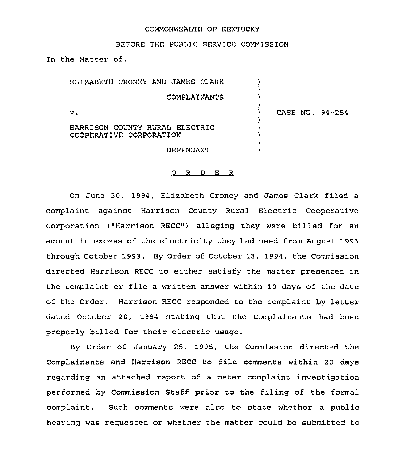### COMMONWEALTH OF KENTUCKY

#### BEFORE THE PUBLIC SERVICE COMMISSION

In the Matter of:

ELIZABETH CRONEY AND JAMES CLARK COMPLAINANTS

V.

) CASE NO. 94-254

) )  $\lambda$  $)$ 

) ) ) ) )

HARRISON COUNTY RURAL ELECTRIC COOPERATIVE CORPORATION

DEFENDANT

#### 0 <sup>R</sup> <sup>D</sup> E <sup>R</sup>

On June 30, 1994, Elizabeth Croney and James Clark filed a complaint against Harrison County Rural Electric Cooperative Corporation ("Harrison RECC") alleging they were billed for an amount in excess of the electricity they had used from August 1993 through October 1993. By Order of October 13, 1994, the Commission directed Harrison RECC to either satisfy the matter presented in the complaint or file a written answer within 10 days of the date of the Order. Harrison RECC responded to the complaint by letter dated October 20, 1994 stating that the Complainants had been properly billed for their electric usage.

By Order of January 25, 1995, the Commission directed the Complainants and Harrison RECC to file comments within <sup>20</sup> days regarding an attached report of a meter complaint investigation performed by Commission Staff prior to the filing of the formal complaint. Such comments were also to state whether a public hearing was requested or whether the matter could be submitted to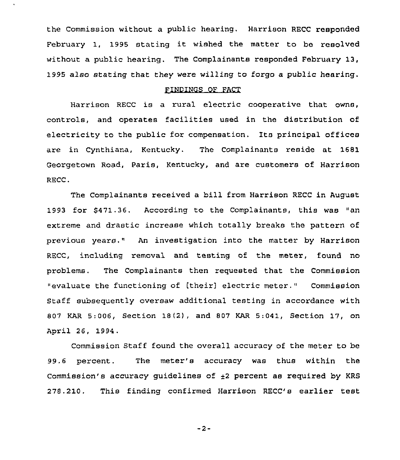the Commission without a public hearing. Harrison RECC responded February 1, 1995 stating it wished the matter to be resolved without a public hearing. The Complainants responded February 13, 1995 also stating that they were willing to forgo a public hearing.

## FINDINGS OF FACT

Harrison RECC is a rural electric cooperative that owns, controls, and operates facilities used in the distribution of electricity to the public for compensation. Its principal offices are in Cynthiana, Kentucky. The Complainants reside at 1681 Georgetown Road, Paris, Kentucky, and are customers of Harrison RECC.

The Complainants received a bill from Harrison RECC in August 1993 for 8471.36. According to the Complainants, this was "an extreme and drastic increase which totally breaks the pattern of previous years," An investigation into the matter by Harrison RECC, including removal and testing of the meter, found no problems. The Complainants then requested that the Commission "evaluate the functioning of [their] electric meter." Commission Staff subsequently oversaw additional testing in accordance with 807 KAR 5:006, Section 18(2), and 807 KAR 5:041, Section 17, on April 26, 1994.

Commission Staff found the overall accuracy of the meter to be 99.6 percent. The meter's accuracy was thus within the Commission's accuracy guidelines of  $\pm 2$  percent as required by KRS 278.210. This finding confirmed Harrison RECC's earlier test

 $-2-$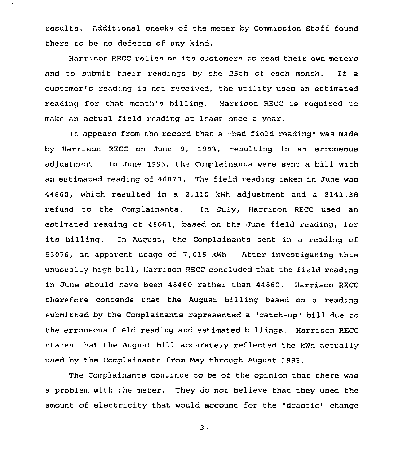results. Additional checks of the meter by Commission Staff found there to be no defects of any kind.

Harrison RECC relies on its customers to read their own meters and to submit their readings by the 25th of each month. If <sup>a</sup> customer's reading is not received, the utility uses an estimated reading for that month's billing. Harrison RECC is required to make an actual field reading at least once a year.

It appears from the record that a "bad field reading" was made by Harrison RECC on June 9, 1993, resulting in an erroneous adjustment. In June 1993, the Complainants were sent a bill with an estimated reading of 46870. The field reading taken in June was 44860, which resulted in a  $2,110$  kWh adjustment and a  $$141.38$ refund to the Complainants. In July, Harrison RECC used an estimated reading of 46061, based on the June field reading, for its billing. In August, the Complainants sent in a reading of 53076, an apparent usage of 7,015 kwh. After investigating this unusually high bill, Harrison RECC concluded that the field reading in June should have been 48460 rather than 44860. Harrison RECC therefore contends that the August billing based on a reading submitted by the Complainants represented a "catch-up" bill due to the erroneous field reading and estimated billings. Harrison RECC states that the August bill accurately reflected the kWh actually used by the Complainants from May through August 1993.

The Complainants continue to be of the opinion that there was a problem with the meter. They do not believe that they used the amount of electricity that would account for the "drastic" change

 $-3-$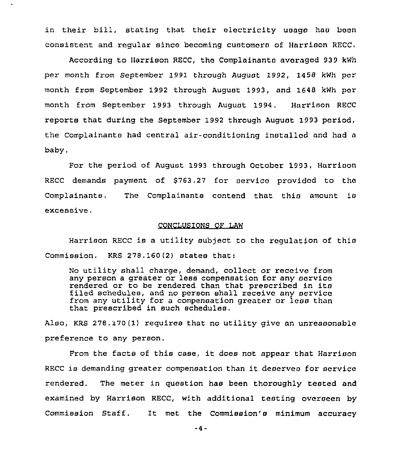in their bill, stating that their electricity usage hae boon consistent and regular since becoming customers of Harrison RECC.

According to Harrison RECC, the Complainante averaged 939 kWh per month from September 1991 through August 1992, 1458 kWh por month from September 1992 through August 1993, and 1648 kWh por month from September 1993 through August 1994. Harrison RECC reports that during the September 1992 through August 1993 period, the Complainants had central air-conditioning installed and had a baby.

For the period of August 1993 through October 1993, Harrison RECC demands payment of \$763.27 for service provided to the Complainants, The Complainants contend that this amount is excessive.

# CONCLUSIONS OF LAW

Harrison RECC is a utility subject to the regulation of this Commission. KRS 278. 160(2) states that:

No utility shall charge, demand, collect or receive from any person a greater or less compensation for any service rendered or to be rendered than that prescribed in its filed schedules, and no person shall receive any service from any utility for a compensation greater oz less than that prescribed in such schedules.

Also, KRs 278. 170(1) requires that no utility give an unreasonable preference to any person.

From the facts of this case, it does not appear that Harrison RECC is demanding greater compensation than it deserves for service rendered. The meter in question has been thoroughly tested and examined by Harrison RECC, with additional testing overseen by Commission Staff. It met the Commission's minimum accuracy

 $-4-$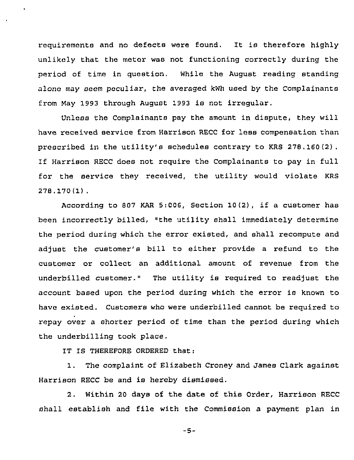requirements and no defects were found. It is therefore highly unlikely that the meter was not functioning correctly during the period of time in question. While the August reading standing alone may seem peculiar, the averaged kwh used by the Complainants from May 1993 through August 1993 is not irregular.

Unless the Complainants pay the amount in dispute, they will have received service from Harrison RECC for less compensation than prescribed in the utility's schedules contrary to KRS 278.160(2). If Harrison RECC does not require the Complainants to pay in full for the service they received, the utility would violate KRS 278.170(1).

According to <sup>807</sup> KAR 5:006, Section 10(2), if <sup>a</sup> customer has been incorrectly billed, "the utility shall immediately determine the period during which the error existed, and shall recompute and adjust the customer's bill to either provide <sup>a</sup> refund to the customer or collect an additional amount of revenue from the underbilled customer." The utility is required to readjust the account based upon the period during which the error is known to have existed. Customers who were underbilled cannot be required to repay over a shorter period of time than the period during which the underbilling took place.

IT IS THEREFORE ORDERED that:

1. The complaint of Elizabeth Croney and James Clark against Harrison RECC be and is hereby dismissed.

2. Within 20 days of the date of this Order, Harrison RECC shall establish and file with the Commission a payment plan in

-5-